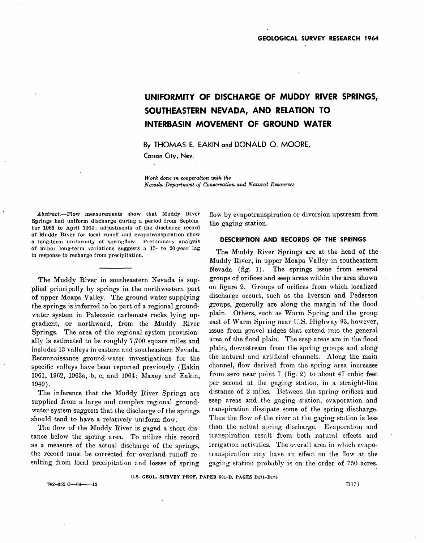# **UNIFORMITY OF DISCHARGE OF MUDDY RIVER SPRINGS, SOUTHEASTERN NEVADA, AND RELATION TO INTERBASIN MOVEMENT OF GROUND WATER**

**By THOMAS E. EAKIN and DONALD O. MOORE,** 

**Carson City, Nev.** 

*Work done in cooperation with the Nevada Department of Conservation and Natural Resources* 

Abstract.-Flow measurements show that Muddy River Springs had uniform discharge during a period from September 1963 to April 1964; adjustments of the discharge record of Muddy River for local runoff and evapotranspiration show a long-term uniformity of springftow. Preliminary analysis of minor long-term variations suggests a 15- to 20-year lag in response to recharge from precipitation.

The Muddy River in southeastern Nevada is supplied principally by springs in the northwestern part of upper Moapa Valley. The ground water supplying the springs is inferred to be part of a regional groundwater system in Paleozoic carbonate rocks lying upgradient, or nortlnvard, from. the Muddy River Springs. The area of the regional system provisionally is estimated to be roughly 7,700 square miles and includes 13 valleys in eastern and southeastern Nevada. Reconnaissance ground-water investigations for the specific valleys have been reported previously (Eakin 1061, 1962, 1963a, b, c, and 1964; Maxey and Eakin, 1949) .

The inference that the Muddy River Springs are supplied from a large and complex regional groundwater system suggests that the discharge of the springs should tend to have a relatively uniform flow.

The flow of the Muddy River is gaged a short distance below the spring area. To utilize this record as a measure of the actual discharge of the springs, the record must be corrected for overland runoff resulting from local precipitation and losses of spring flow by evapotranspiration or diversion upstream from the gaging station.

## **DESCRIPTION AND RECORDS OF THE SPRINGS,**

The Muddy River Springs are at the head of the Muddy River, in upper Moapa Valley in southeastern Nevada (fig. 1). The springs issue from several groups of orifices and seep areas within the area shown on figure 2. Groups of orifices from which localized discharge occurs, such as the Iverson and Pederson groups, generally are along the margin of the flood plain. Others, such as Warm Spring and the group east of Warm Spring near U.S. Highway 93, however, issue from gravel ridges that extend into the general area of the flood plain. The seep areas are in the flood plain, downstream from the spring groups and along the natural and artificial channels. Along the main channel, flow derived from the spring area increases from zero near point  $7$  (fig. 2) to about 47 cubic feet per second at the gaging station, in a straight-line distance of 2 miles. Between the spring orifices and seep areas and the gaging station, evaporation and transpiration dissipate some of the spring discharge. Thus the flow of the river at the gaging station is less than the actual spring discharge. Evaporation and transpiration result from both natural effects and irrigation activities. The overall area in which evapotranspiration may have an effect on the flow at the gaging station probably is on the order of 750 acres.

U.S. GEOL. SURVEY PROF. PAPER 501-D. PAGES D171-D176

 $742 - 652$  O $-64$  12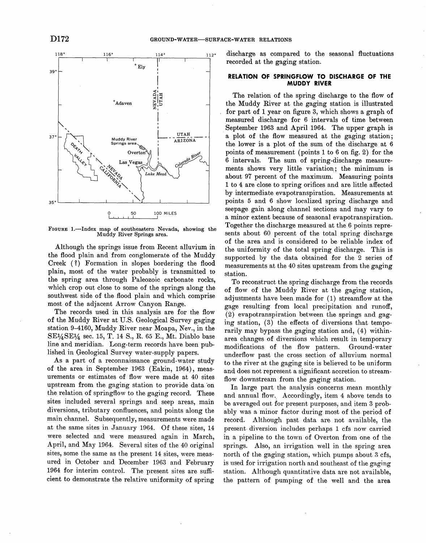

FIGURE 1.—Index map of southeastern Nevada, showing the Muddy River Springs area.

Although the springs issue from Recent alluvium in the flood plain and from conglomerate of the Muddy Creek (?) Formation in slopes bordering the flood plain, most of the water probably is transmitted to the spring area through Paleozoic carbonate rocks, which crop out close to some of the springs along the southwest side of the flood plain and which comprise most of the adjacent Arrow Canyon Range.

The records used in this analysis are for the flow of the Muddy River at U.S. Geological Survey gaging station 9-4160, Muddy River near Moapa, Nev., in the  $SE1/4SE1/4$  sec. 15, T. 14 S., R. 65 E., Mt. Diablo base line and meridian. Long-term records have been published in Geological Survey water-supply papers.

As a part of a reconnaissance ground-water study of the area in September 1963 (Eakin, 1964), measurements or estimates of flow were made at 40 sites upstream from the gaging station to provide data 'on the relation of springflow to the gaging record. These sites included several springs and seep areas, main diversions, tributary confluences, and points along the main channel. Subsequently, measurements were made at the same sites in January 1964. Of these sites, 14 were selected and were measured again in March, April, and May 1964. Several sites of the 40 original sites, some the same as the present 14 sites, were measured in October and December 1963 and February 1964 for interim control. The present sites are sufficient to demonstrate the relative uniformity of spring

discharge as compared to the seasonal fluctuations recorded at the gaging station.

## **RELATION OF SPRINGFLOW TO DISCHARGE OF THE MUDDY RIV,ER**

The relation of the spring discharge to the flow of the Muddy River at the gaging station is illustrated for part of 1 year on figure 3, which shows a graph of measured discharge for 6 intervals of time between September 1963 and April 1964. The upper graph is a plot of the flow measured at the gaging station; the lower is a plot of the sum of the discharge at 6 points of measurement (points 1 to 6 on fig. 2) for the 6 intervals. The sum of spring-discharge measurements shows very little variation; the minimum is about 97 percent of the maximum. Measuring points 1 to 4 are close to spring orifices and are little affected by intermediate evapotranspiration. Measurements at points 5 and 6 show loealized spring discharge and seepage gain along channel sections and may vary to a minor extent because of seasonal evapotranspiration. Together the discharge measured at the 6 points represents about 60 percent of the total spring discharge of the area and is considered to be reliable index of the uniformity of the total spring discharge. This is supported by the data obtained for the 2 series of measurements at the 40 sites upstream from the gaging station.

To reconstruct the spring discharge from the records of flow of the Muddy River at the gaging station, adjustments have been made for (1) streamflow at the gage resulting from local precipitation and runoff, (2) evapotranspiration between the springs and gaging station, (3) the effects of diversions that temporarily may bypass the gaging station and, (4) withinarea changes of diversions which result in temporary modifications of the flow pattern. Ground-water underflow past the cross section of alluvium normal to the river at the gaging site is believed to be uniform and does not represent a significant accretion to streamflow downstream from the gaging station.

In large part the analysis concerns mean monthly and annual flow. Accordingly, item 4 above tends to be averaged out for present purposes, and item 3 probably was a minor factor during most of the period of record. Although past data are not available, the present diversion includes perhaps 1 cfs now carried in a pipeline to the town of Overton from one of the springs. Also, an irrigation well in the spring area north of the gaging station, which pumps about 3 cfs, is used for irrigation north and southeast of the gaging station. Although quantitative data are not available, the pattern of pumping of the well and the area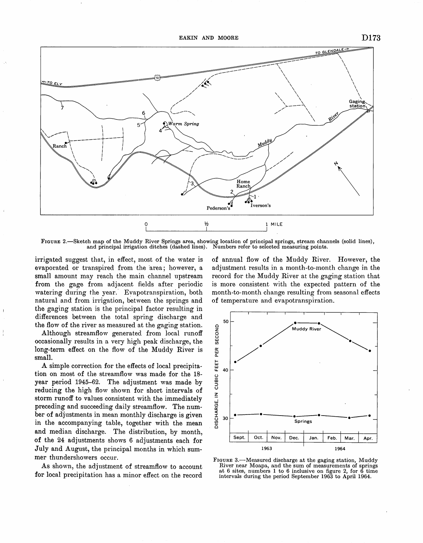

FIGURE 2.—Sketch map of the Muddy River Springs area, showing location of principal springs, stream channels (solid lines), and principal irrigation ditches (dashed lines). Numbers refer to selected measuring points.

irrigated suggest that, in effect, most of the water is evaporated or transpired from the area; however, a small amount may reach the main channel upstream from the gage from adjacent fields after periodic watering during the year. Evapotranspiration, both natural and from irrigation, between the springs and the gaging station is the principal factor resulting in differences between the total spring discharge and the flow of the river as measured at the gaging station.

Although streamflow generated from local runoff occasionally results in a very high peak discharge, the long-term effect on the flow of the Muddy River is small.

A simple correction for the effects of local precipitation on most of the streamflow was made for the 18year period 1945-62. The adjustment was made by reducing the high flow shown for short intervals of storm runoff to values consistent with the immediately preceding and succeeding daily streamflow. The number of adjustments in mean monthly discharge is given in the accompanying table, together with the mean and median discharge. The distribution, by month, of the 24 adjustments shows 6 adjustments each for July and August, the principal months in which summer thundershowers occur.

As shown, the adjustment of streamflow to account for local precipitation has a minor effect on the record of annual flow of the Muddy River. However, the adjustment results in a month-to-month change in the record for the Muddy River at the gaging station that is more consistent with the expected pattern of the month-to-month change resulting from seasonal effects of temperature and evapotranspiration.



FIGURE 3.—Measured discharge at the gaging station, Muddy River near Moapa, and the sum of measurements of springs at 6 sites, numbers 1 to 6 inclusive on figure 2, for 6 time<br>intervals during the period September 1963 to April 1964.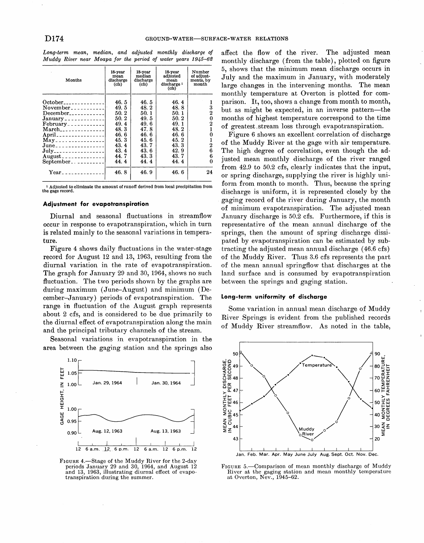| Long-term mean, median, and adjusted monthly discharge of    |  |  |  |  |
|--------------------------------------------------------------|--|--|--|--|
| Muddy River near Moapa for the period of water years 1945–62 |  |  |  |  |

| Months                                                               | 18-year<br>mean<br>discharge<br>(cfs) | 18-year<br>median<br>discharge<br>(cis) | 18-vear<br>adjusted<br>mean<br>discharge <sup>1</sup><br>(cfs) | Number<br>of adjust-<br>ments, by<br>month |
|----------------------------------------------------------------------|---------------------------------------|-----------------------------------------|----------------------------------------------------------------|--------------------------------------------|
| $October_{\texttt{3}}$                                               | 46.5                                  | 46.5                                    | 46.4                                                           |                                            |
| November <sub>----------</sub>                                       | 49.5                                  | 48.2                                    | 48.8                                                           | 3                                          |
| $December_{\texttt{3}}$                                              | 50.2                                  | 50.1                                    | 50.1                                                           | 2                                          |
|                                                                      | 50.2                                  | 49.5                                    | 50.2                                                           | 0                                          |
| $February.$ $---$                                                    | 49.4                                  | 49.6                                    | 49.1                                                           | $\boldsymbol{2}$                           |
| $March_{\_--\_--\_--\_--\_--\_--\_--}$                               | 48.3                                  | 47.8                                    | 48.2                                                           |                                            |
| April_________________                                               | 46.6                                  | 46.6                                    | 46.6                                                           | 0                                          |
| $\text{Mav}$ = = = = = = = = = = = = = = = = =                       | 45.3                                  | 45.6                                    | 45.2                                                           |                                            |
| $June_{\texttt{--}+\texttt{--}+\texttt{--}+\texttt{--}+\texttt{--}}$ | 43.4                                  | 43.7                                    | 43.3                                                           | 2                                          |
| July__________________                                               | 43.4                                  | 43.6                                    | 42.9                                                           | 6                                          |
| $August_{\texttt{--}--\texttt{--}--\texttt{---}--\texttt{---}}$      | 44.7                                  | 43.3                                    | 43.7                                                           | 6                                          |
| $September_-.$                                                       | 44.4                                  | 44.4                                    | 44.4                                                           | $\Omega$                                   |
| $\rm Year$                                                           | 46.8                                  | 46.9                                    | 46.6                                                           | 24                                         |

<sup>1</sup> Adjusted to eliminate the amount of runoff derived from local precipitation from the gage record.

#### **Adjustment for evapotranspiration**

Diurnal and seasonal fluctuations in streamflow occur in response to evapotranspiration, which in turn is related mainly to the seasonal variations in temperature.

Figure 4 shows daily fluctuations in the water-stage record for August 12 and 13, 1963, resulting from the diurnal variation in the rate of evapotranspiration. The graph for January 29 and 30, 1964, shows no such fluctuation. The two periods shown by the graphs are during maximum (June-August) and minimum (December-January) periods of evapotranspiration. The range in fluctuation of the August graph represents about 2 cfs, and is considered to be due primarily to the diurnal effect of evapotranspiration along the main and the principal tributary channels of the stream.

Seasonal variations in evapotranspiration in the area between the gaging station and the springs also



FIGURE 4.-Stage of the Muddy River for the 2-day periods January 29 and 30, 1964, and August 12 and 13, 1963, illustrating diurnal effect of evapotranspiration during the summer.

affect the flow of the river. The adjusted mean monthly discharge (from the table), plotted on figure 5, shows that the minimum mean discharge occurs in July and the maximum in January, with moderately large changes in the intervening months. The mean monthly temperature at Overton is plotted for comparison. It, too, shows a change from month to month, but as might be expected, in an inverse pattern-the months of highest temperature correspond to the time of greatest . stream loss through evapotranspiration.

Figure 6 shows an excellent correlation of discharge of the Muddy River at the gage with air temperature. The high degree of correlation, even though the adjusted mean monthly discharge of the river ranged from 42.9 to 50.2 cfs, clearly indicates that the input, or spring discharge, supplying the river is highly uniform from month to month. Thus, because the spring discharge is uniform, it is represented closely by the gaging record of the river during January, the month of minimum evapotranspiration. The adjusted mean January discharge is 50.2 cfs. Furthermore, if this is representative of the mean annual discharge of the springs, then the amount of spring discharge dissipated by evapotranspiration can be estimated by subtracting the adjusted mean annual discharge (46.6 cfs) of the Muddy River. Thus 3.6 cfs represents the part of the mean annual springflow that discharges at the land surface and is consumed by evapotranspiration between the springs and gaging station.

### **Long-te'rm uniformity of discharge**

Some variation in annual mean discharge of Muddy River Springs is evident from the published records of Muddy River streamflow. As noted in the table,



FIGURE 5.-Comparison of mean monthly discharge of Muddy River at the gaging station and mean monthly temperature at Overton, Nev., 1945-62.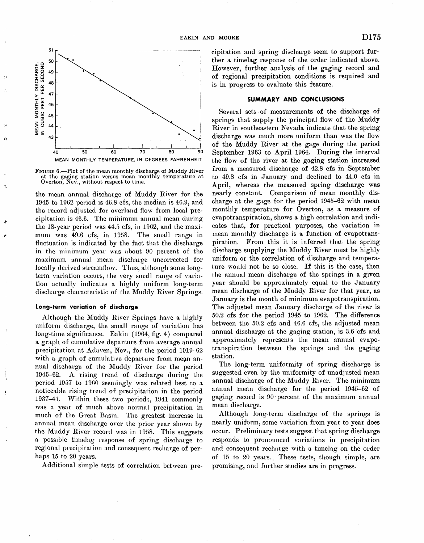

FIGURE 6.—Plot of the mean monthly discharge of Muddy River<br>at the gaging station versus mean monthly temperature at<br>Overton, Nev., without respect to time.

the mean annual discharge of Muddy River for the 1945 to 1962 period is  $46.8$  cfs, the median is  $46.9$ , and the record adjusted for overland flow from local precipitation is 46.6. The minimum annual mean during the 18-year period was 44.5 cfs, in 1962, and the maximum was 49.6 cfs, in 1958. The small range in fluctuation is indicated by the fact that the discharge in the minimum year was about 90 percent of the maximum annual mean discharge uncorrected for locally derived streamflow. Thus, although some longterm variation occurs, the very small range of variation actually indicates a highly uniform long-term discharge characteristic of the Muddy River Springs.

#### Long-term variation of discharge

Although the Muddy River Springs have a highly uniform discharge, the small range of variation has long-time significance. Eakin (1964, fig. 4) compared a graph of cumulative departure from average annual precipitation at Adaven, Nev., for the period 1919-62 with a graph of cumulative departure from mean annual discharge of the Muddy River for the period 1945–62. A rising trend of discharge during the period 1957 to 1960 seemingly was related best to a noticeable rising trend of precipitation in the period 1937-41. Within these two periods, 1941 commonly was a year of much above normal precipitation in much of the Great Basin. The greatest increase in annual mean discharge over the prior year shown by the Muddy River record was in 1958. This suggests a possible timelag response of spring discharge to regional precipitation and consequent recharge of perhaps 15 to 20 years.

Additional simple tests of correlation between pre-

cipitation and spring discharge seem to support further a timelag response of the order indicated above. However, further analysis of the gaging record and of regional precipitation conditions is required and is in progress to evaluate this feature.

### **SUMMARY AND CONCLUSIONS**

Several sets of measurements of the discharge of springs that supply the principal flow of the Muddy River in southeastern Nevada indicate that the spring discharge was much more uniform than was the flow of the Muddy River at the gage during the period September 1963 to April 1964. During the interval the flow of the river at the gaging station increased from a measured discharge of 42.8 cfs in September to 49.8 cfs in January and declined to 44.0 cfs in April, whereas the measured spring discharge was nearly constant. Comparison of mean monthly discharge at the gage for the period 1945-62 with mean monthly temperature for Overton, as a measure of evapotranspiration, shows a high correlation and indicates that, for practical purposes, the variation in mean monthly discharge is a function of evapotranspiration. From this it is inferred that the spring discharge supplying the Muddy River must be highly uniform or the correlation of discharge and temperature would not be so close. If this is the case, then the annual mean discharge of the springs in a given vear should be approximately equal to the January mean discharge of the Muddy River for that year, as January is the month of minimum evapotranspiration. The adjusted mean January discharge of the river is 50.2 cfs for the period 1945 to 1962. The difference between the 50.2 cfs and 46.6 cfs, the adjusted mean annual discharge at the gaging station, is 3.6 cfs and approximately represents the mean annual evapotranspiration between the springs and the gaging station.

The long-term uniformity of spring discharge is suggested even by the uniformity of unadjusted mean annual discharge of the Muddy River. The minimum annual mean discharge for the period 1945-62 of gaging record is 90 percent of the maximum annual mean discharge.

Although long-term discharge of the springs is nearly uniform, some variation from year to year does occur. Preliminary tests suggest that spring discharge responds to pronounced variations in precipitation and consequent recharge with a timelag on the order of 15 to 20 years. These tests, though simple, are promising, and further studies are in progress.